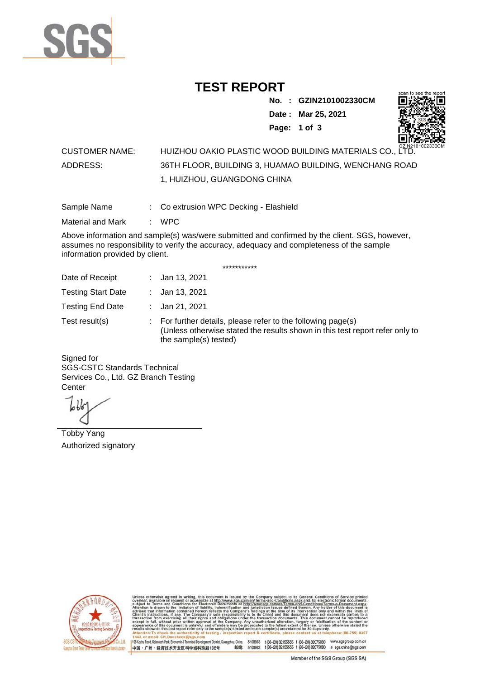

## **TEST REPORT**

**No. : GZIN2101002330CM**

**Date : Mar 25, 2021**



**Page: 1 of 3** 

## CUSTOMER NAME: HUIZHOU OAKIO PLASTIC WOOD BUILDING MATERIALS CO., LTD. ADDRESS: 36TH FLOOR, BUILDING 3, HUAMAO BUILDING, WENCHANG ROAD 1, HUIZHOU, GUANGDONG CHINA

Sample Name : Co extrusion WPC Decking - Elashield

Material and Mark : WPC

Above information and sample(s) was/were submitted and confirmed by the client. SGS, however, assumes no responsibility to verify the accuracy, adequacy and completeness of the sample information provided by client.

\*\*\*\*\*\*\*\*\*\*\*

| Date of Receipt           | : Jan 13, 2021                                                                                                                                                        |
|---------------------------|-----------------------------------------------------------------------------------------------------------------------------------------------------------------------|
| <b>Testing Start Date</b> | : Jan 13, 2021                                                                                                                                                        |
| <b>Testing End Date</b>   | : Jan 21, 2021                                                                                                                                                        |
| Test result(s)            | : For further details, please refer to the following page(s)<br>(Unless otherwise stated the results shown in this test report refer only to<br>the sample(s) tested) |

Signed for SGS-CSTC Standards Technical Services Co., Ltd. GZ Branch Testing **Center** 

Tobby Yang Authorized signatory



510663 t(86-20) 82155555 f (86-20) 82075080 www.sgsgroup.com.cn<br>510663 t(86-20) 82155555 f (86-20) 82075080 e sgs.china@sgs.com 198 Kezhu Road, Scientech Park, Eco nomic & Technical Devel tou, China. ant District C 邮编: 中国·广州·经济技术开发区科学城科珠路198号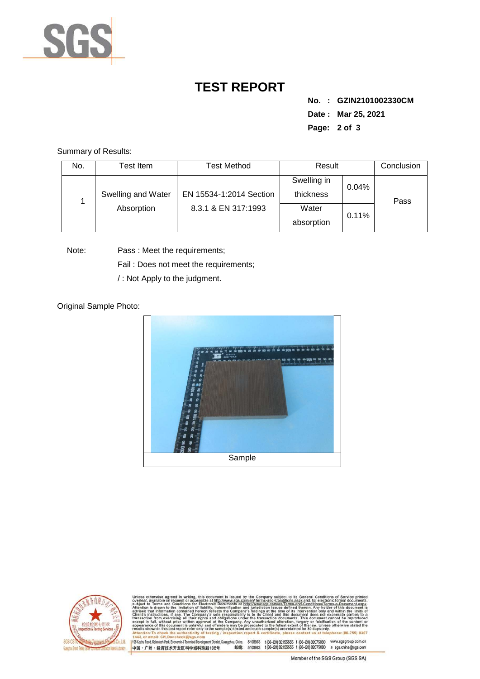

## **TEST REPORT**

**No. : GZIN2101002330CM Date : Mar 25, 2021 Page: 2 of 3** 

Summary of Results:

| No. | Test Item.         | Test Method                                    | Result                   |       | Conclusion |
|-----|--------------------|------------------------------------------------|--------------------------|-------|------------|
|     | Swelling and Water | EN 15534-1:2014 Section<br>8.3.1 & EN 317:1993 | Swelling in<br>thickness | 0.04% | Pass       |
|     | Absorption         |                                                | Water<br>absorption      | 0.11% |            |

Note: Pass : Meet the requirements; Fail : Does not meet the requirements;

/ : Not Apply to the judgment.

Original Sample Photo:





Conditions/Terms-e-Dor<br>rein. Any holder of this nentDistrict,Guangzhou,China. 510663 t (86–20) 82155555 f (86–20) 82075080 www.sgsgroup.com.cn<br>格198号 邮编: 510663 t (86–20) 82155555 f (86–20) 82075080 e sgs.china@sgs.com 198 Kezhu Road, Scientech Park, Economic & Technical Develo 中国·广州·经济技术开发区科学城科珠路198号